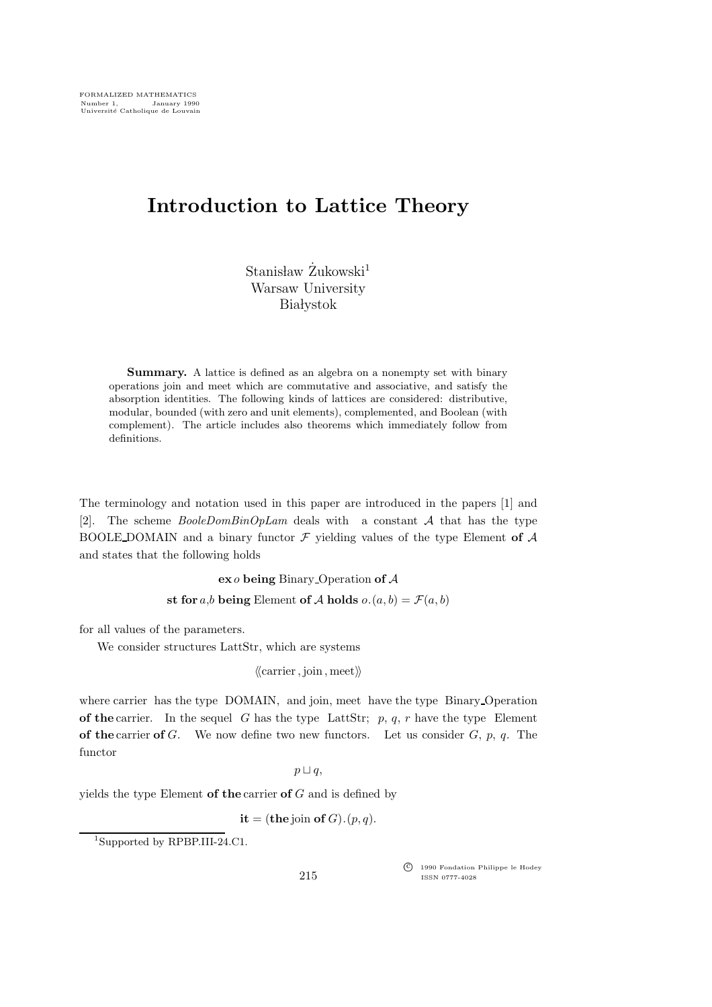# Introduction to Lattice Theory

 $Stanis law$   $\ddot{Z}$ ukowski<sup>1</sup> Warsaw University **Bia** lystok

Summary. A lattice is defined as an algebra on a nonempty set with binary operations join and meet which are commutative and associative, and satisfy the absorption identities. The following kinds of lattices are considered: distributive, modular, bounded (with zero and unit elements), complemented, and Boolean (with complement). The article includes also theorems which immediately follow from definitions.

The terminology and notation used in this paper are introduced in the papers [1] and [2]. The scheme  $BooleDomBinOpLam$  deals with a constant A that has the type BOOLE DOMAIN and a binary functor  $\mathcal F$  yielding values of the type Element of  $\mathcal A$ and states that the following holds

 $\mathbf{ex}$  *o* being Binary Operation of  $\mathcal A$ 

st for a,b being Element of A holds  $o.(a, b) = \mathcal{F}(a, b)$ 

for all values of the parameters.

We consider structures LattStr, which are systems

 $\langle\langle \text{carrier}, \text{join}, \text{meet}\rangle\rangle$ 

where carrier has the type DOMAIN, and join, meet have the type Binary Operation of the carrier. In the sequel G has the type LattStr; p, q, r have the type Element of the carrier of G. We now define two new functors. Let us consider  $G, p, q$ . The functor

 $p \sqcup q$ ,

yields the type Element of the carrier of  $G$  and is defined by

 $it = (the join of G) . (p, q).$ 

<sup>1</sup>Supported by RPBP.III-24.C1.

c<sup>f</sup> 1990 Fondation Philippe le Hodey ISSN 0777-4028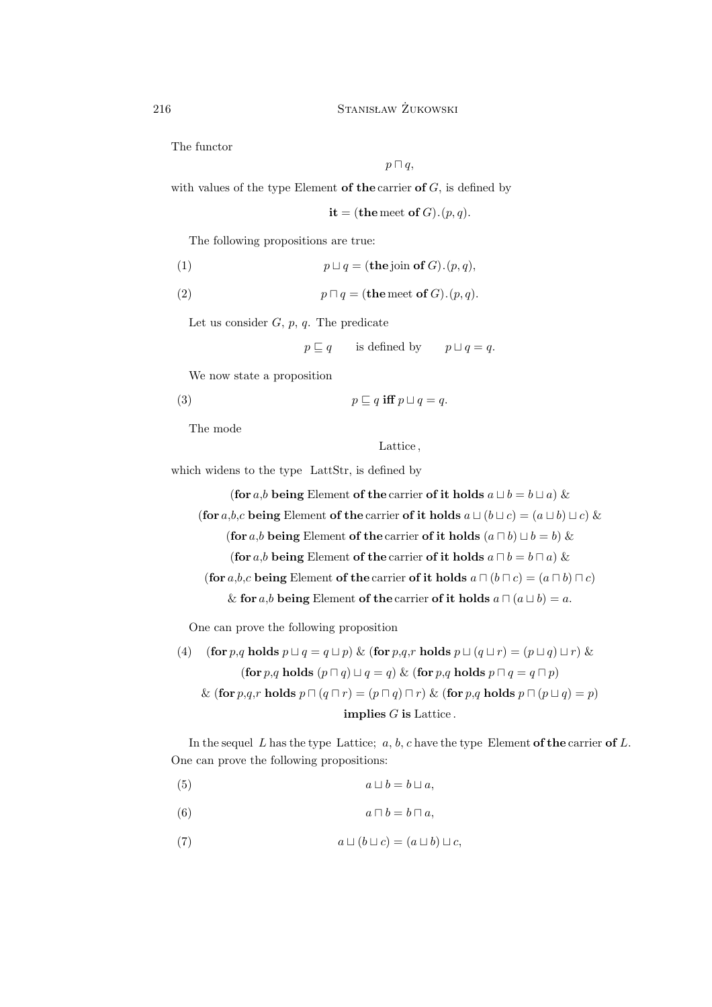The functor

$$
p \sqcap q,
$$

with values of the type Element of the carrier of  $G$ , is defined by

it = (the meet of  $G$ ). $(p, q)$ .

The following propositions are true:

(1) 
$$
p \sqcup q = (\mathbf{the}\,\mathrm{join}\,\,\mathbf{of}\,\,G). (p,q),
$$

(2) 
$$
p \sqcap q = (\textbf{the meet of } G). (p, q).
$$

Let us consider  $G, p, q$ . The predicate

$$
p \sqsubseteq q
$$
 is defined by  $p \sqcup q = q$ .

We now state a proposition

(3) 
$$
p \sqsubseteq q \text{ iff } p \sqcup q = q.
$$

The mode

Lattice ,

which widens to the type LattStr, is defined by

(for a,b being Element of the carrier of it holds  $a \sqcup b = b \sqcup a$ ) & (for a,b,c being Element of the carrier of it holds  $a \sqcup (b \sqcup c) = (a \sqcup b) \sqcup c$ ) & (for a,b being Element of the carrier of it holds  $(a \sqcap b) \sqcup b = b$ ) & (for a,b being Element of the carrier of it holds  $a \sqcap b = b \sqcap a$ ) & (for a,b,c being Element of the carrier of it holds  $a \sqcap (b \sqcap c) = (a \sqcap b) \sqcap c$ ) & for a,b being Element of the carrier of it holds  $a \sqcap (a \sqcup b) = a$ .

One can prove the following proposition

(4) (for *p,q* holds 
$$
p \sqcup q = q \sqcup p
$$
) & (for *p,q,r* holds  $p \sqcup (q \sqcup r) = (p \sqcup q) \sqcup r$ ) & (for *p,q* holds  $(p \sqcap q) \sqcup q = q$ ) & (for *p,q* holds  $p \sqcap q = q \sqcap p$ )  
& (for *p,q,r* holds  $p \sqcap (q \sqcap r) = (p \sqcap q) \sqcap r$ ) & (for *p,q* holds  $p \sqcap (p \sqcup q) = p$ )  
implies *G* is Lattice.

In the sequel  $L$  has the type Lattice;  $a, b, c$  have the type Element of the carrier of  $L$ . One can prove the following propositions:

- (5)  $a \sqcup b = b \sqcup a$ ,
- (6)  $a \sqcap b = b \sqcap a$ ,
- (7)  $a \sqcup (b \sqcup c) = (a \sqcup b) \sqcup c,$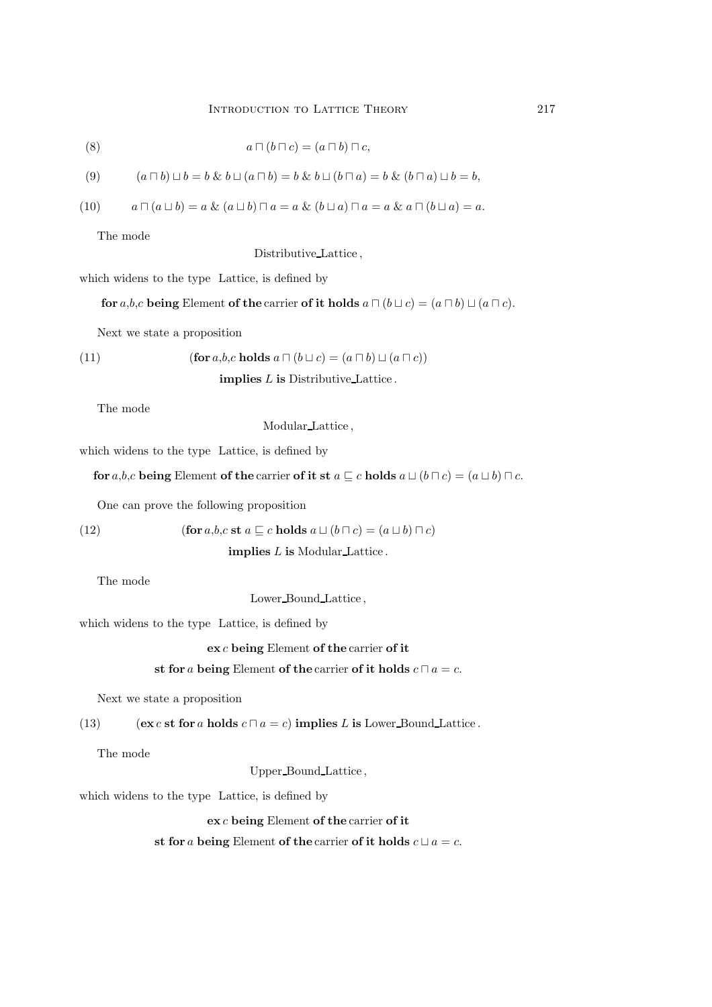(8) 
$$
a \sqcap (b \sqcap c) = (a \sqcap b) \sqcap c,
$$

$$
(9) \qquad (a \sqcap b) \sqcup b = b \& b \sqcup (a \sqcap b) = b \& b \sqcup (b \sqcap a) = b \& (b \sqcap a) \sqcup b = b,
$$

$$
(10) \qquad a \sqcap (a \sqcup b) = a \& (a \sqcup b) \sqcap a = a \& (b \sqcup a) \sqcap a = a \& a \sqcap (b \sqcup a) = a.
$$

The mode

Distributive Lattice ,

which widens to the type Lattice, is defined by

for a,b,c being Element of the carrier of it holds  $a \sqcap (b \sqcup c) = (a \sqcap b) \sqcup (a \sqcap c)$ .

Next we state a proposition

(11) 
$$
(\textbf{for } a, b, c \textbf{ holds } a \sqcap (b \sqcup c) = (a \sqcap b) \sqcup (a \sqcap c))
$$

implies L is Distributive Lattice .

The mode

Modular Lattice ,

which widens to the type Lattice, is defined by

for a,b,c being Element of the carrier of it st  $a \sqsubseteq c$  holds  $a \sqcup (b \sqcap c) = (a \sqcup b) \sqcap c$ .

One can prove the following proposition

(12) 
$$
(\textbf{for } a, b, c \text{ st } a \sqsubseteq c \text{ holds } a \sqcup (b \sqcap c) = (a \sqcup b) \sqcap c)
$$
  
**implies** *L* **is** Modular-Lattice.

The mode

Lower Bound Lattice ,

which widens to the type Lattice, is defined by

ex c being Element of the carrier of it

# st for a being Element of the carrier of it holds  $c \sqcap a = c$ .

Next we state a proposition

(13) 
$$
(\mathbf{ex}\,c\,\mathbf{st}\,\mathbf{for}\,a\,\mathbf{holds}\,c\sqcap a = c)
$$
 implies *L* is Lower-Bound-Lattice.

The mode

Upper Bound Lattice ,

which widens to the type Lattice, is defined by

ex c being Element of the carrier of it

st for a being Element of the carrier of it holds  $c \sqcup a = c$ .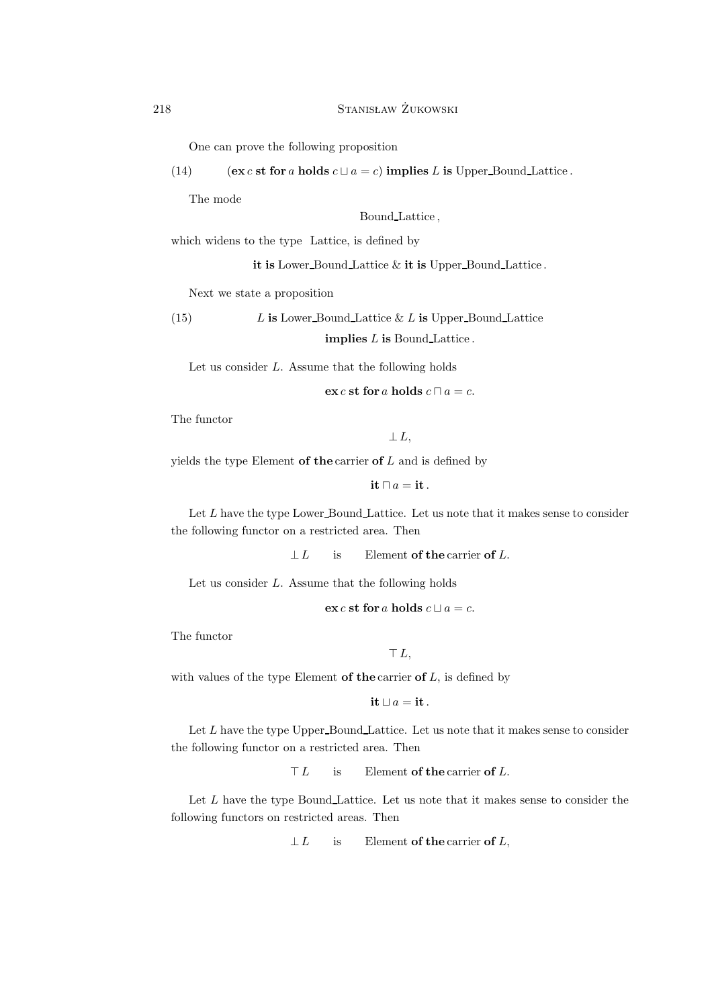One can prove the following proposition

(14) (ex c st for a holds  $c \sqcup a = c$ ) implies L is Upper Bound Lattice .

The mode

Bound Lattice ,

which widens to the type Lattice, is defined by

it is Lower Bound Lattice & it is Upper Bound Lattice .

Next we state a proposition

(15)  $L$  is Lower Bound Lattice & L is Upper Bound Lattice implies L is Bound Lattice .

Let us consider  $L$ . Assume that the following holds

$$
\mathbf{ex} \, c \, \mathbf{st} \, \mathbf{for} \, a \, \mathbf{holds} \, c \, \Box \, a = c.
$$

The functor

 $\perp$  L,

yields the type Element of the carrier of  $L$  and is defined by

it  $□ a =$  it.

Let  $L$  have the type Lower Bound Lattice. Let us note that it makes sense to consider the following functor on a restricted area. Then

 $\perp L$  is Element of the carrier of L.

Let us consider L. Assume that the following holds

ex c st for a holds  $c \sqcup a = c$ .

The functor

```
⊤ L,
```
with values of the type Element of the carrier of  $L$ , is defined by

it  $□ a =$  it.

Let  $L$  have the type Upper Bound Lattice. Let us note that it makes sense to consider the following functor on a restricted area. Then

 $\top L$  is Element of the carrier of L.

Let L have the type Bound Lattice. Let us note that it makes sense to consider the following functors on restricted areas. Then

 $\perp L$  is Element of the carrier of L,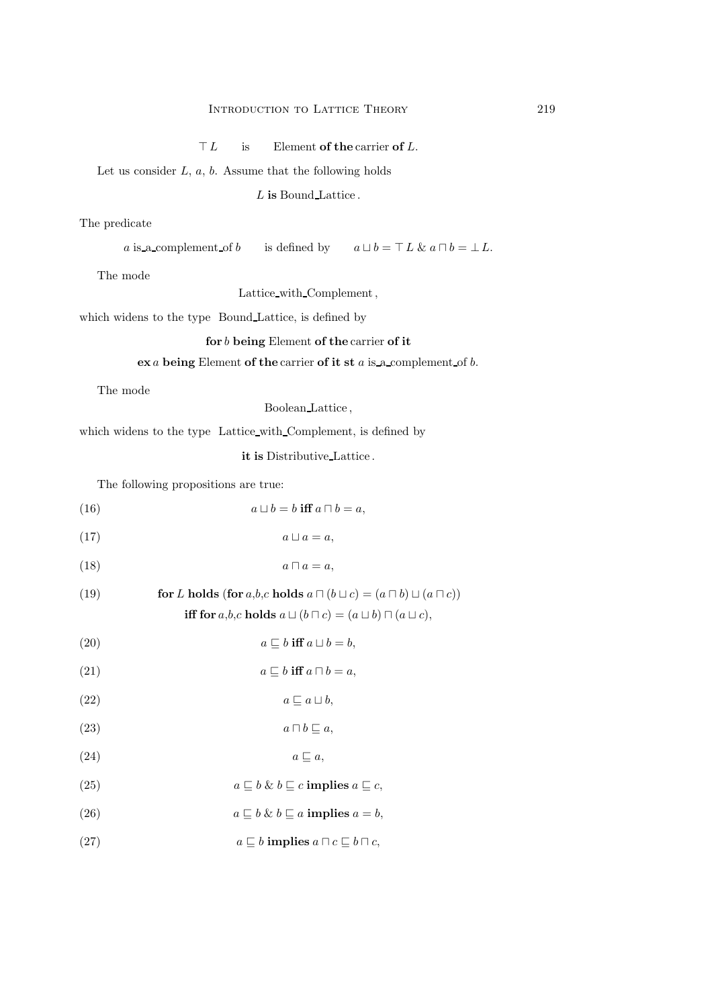$\top L$  is Element of the carrier of L.

Let us consider  $L, a, b$ . Assume that the following holds

L is Bound Lattice.

# The predicate

a is a complement of b is defined by  $a \sqcup b = \top L \& a \sqcap b = \bot L$ .

The mode

Lattice\_with\_Complement,

which widens to the type Bound Lattice, is defined by

#### for b being Element of the carrier of it

# $\mathbf{ex}$  a being Element of the carrier of it st a is a complement of b.

The mode

Boolean Lattice ,

which widens to the type Lattice with Complement, is defined by

it is Distributive Lattice .

The following propositions are true:

(16) 
$$
a \sqcup b = b \text{ iff } a \sqcap b = a,
$$

$$
(17) \t a \sqcup a = a,
$$

$$
(18) \t\t a \sqcap a = a,
$$

(19) **for** L holds (for a,b,c holds 
$$
a \sqcap (b \sqcup c) = (a \sqcap b) \sqcup (a \sqcap c)
$$
)  
iff for a,b,c holds  $a \sqcup (b \sqcap c) = (a \sqcup b) \sqcap (a \sqcup c)$ ,

- (20)  $a \sqsubseteq b$  iff  $a \sqcup b = b$ ,
- (21)  $a \sqsubseteq b$  iff  $a \sqcap b = a$ ,

$$
(22) \t a \sqsubseteq a \sqcup b,
$$

- (23)  $a \sqcap b \sqsubseteq a$ ,
- (24)  $a \sqsubseteq a$ ,
- (25)  $a \sqsubseteq b \& b \sqsubseteq c$  implies  $a \sqsubseteq c$ ,
- (26)  $a \sqsubseteq b \& b \sqsubseteq a$  implies  $a = b$ ,
- (27)  $a \sqsubseteq b$  implies  $a \sqcap c \sqsubseteq b \sqcap c$ ,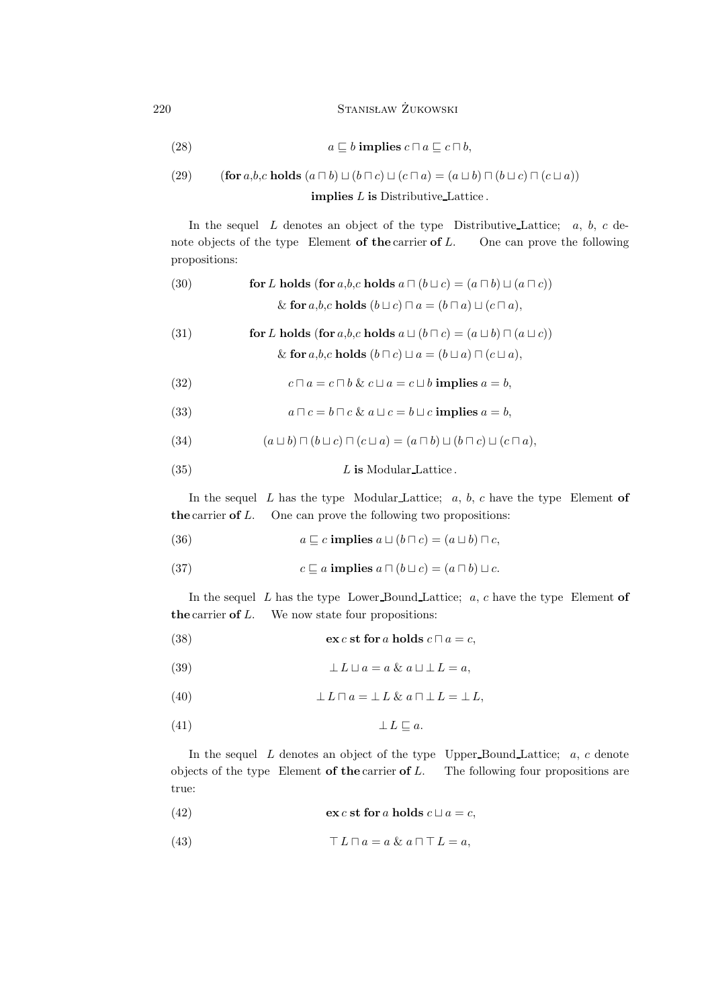$220$  Stanisław Żukowski

(28) 
$$
a \sqsubseteq b \text{ implies } c \sqcap a \sqsubseteq c \sqcap b,
$$

(29) (for *a,b,c* holds 
$$
(a \sqcap b) \sqcup (b \sqcap c) \sqcup (c \sqcap a) = (a \sqcup b) \sqcap (b \sqcup c) \sqcap (c \sqcup a))
$$
  
implies *L* is Distributive-Lattice.

In the sequel  $L$  denotes an object of the type Distributive Lattice;  $a, b, c$  de-

note objects of the type Element of the carrier of  $L$ . One can prove the following propositions:

(30) **for** *L* **holds** (for *a*,*b*,*c* **holds** 
$$
a \sqcap (b \sqcup c) = (a \sqcap b) \sqcup (a \sqcap c)
$$
)  
&**for** *a*,*b*,*c* **holds**  $(b \sqcup c) \sqcap a = (b \sqcap a) \sqcup (c \sqcap a)$ ,

(31) **for** *L* **holds** (for *a*,*b*,*c* **holds** 
$$
a \sqcup (b \sqcap c) = (a \sqcup b) \sqcap (a \sqcup c))
$$
  
&**for** *a*,*b*,*c* **holds**  $(b \sqcap c) \sqcup a = (b \sqcup a) \sqcap (c \sqcup a)$ ,

(32) 
$$
c \sqcap a = c \sqcap b \& c \sqcup a = c \sqcup b \text{ implies } a = b,
$$

(33) 
$$
a \sqcap c = b \sqcap c \& a \sqcup c = b \sqcup c \text{ implies } a = b,
$$

(34) 
$$
(a \sqcup b) \sqcap (b \sqcup c) \sqcap (c \sqcup a) = (a \sqcap b) \sqcup (b \sqcap c) \sqcup (c \sqcap a),
$$

$$
(35) \t\t\t L is Modular-Lattice.
$$

In the sequel  $L$  has the type Modular Lattice;  $a, b, c$  have the type Element of the carrier of  $L$ . One can prove the following two propositions:

(36) 
$$
a \sqsubseteq c \text{ implies } a \sqcup (b \sqcap c) = (a \sqcup b) \sqcap c,
$$

(37) 
$$
c \sqsubseteq a \text{ implies } a \sqcap (b \sqcup c) = (a \sqcap b) \sqcup c.
$$

In the sequel  $L$  has the type Lower Bound Lattice;  $a, c$  have the type Element of the carrier of  $L$ . We now state four propositions:

(38) 
$$
\mathbf{ex} \, c \, \mathbf{st} \, \mathbf{for} \, a \, \mathbf{holds} \, c \, \Box \, a = c,
$$

(39) 
$$
\perp L \sqcup a = a \& a \sqcup \perp L = a,
$$

(40) 
$$
\perp L \sqcap a = \perp L \& a \sqcap \perp L = \perp L,
$$

(41) ⊥ L ⊑ a.

In the sequel  $L$  denotes an object of the type Upper-Bound Lattice;  $a, c$  denote objects of the type Element of the carrier of  $L$ . The following four propositions are true:

(42) 
$$
\mathbf{ex} \, c \, \mathbf{st} \, \mathbf{for} \, a \, \mathbf{holds} \, c \, \sqcup a = c,
$$

(43) 
$$
\top L \sqcap a = a \& a \sqcap \top L = a,
$$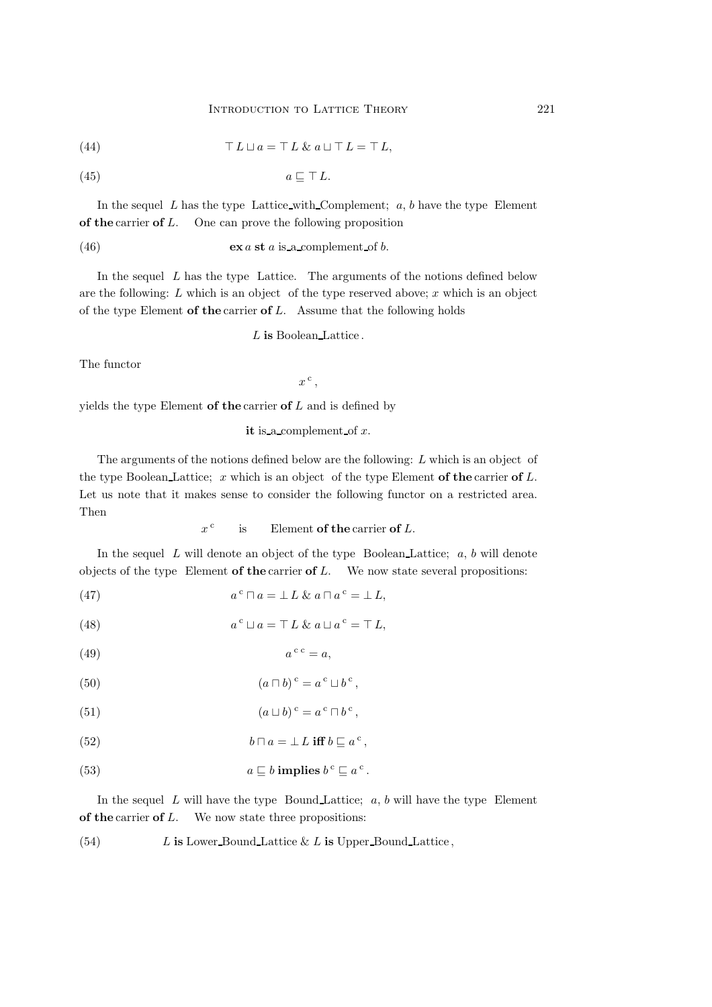(44) 
$$
\top L \sqcup a = \top L \& a \sqcup \top L = \top L,
$$

$$
(45) \t a \sqsubseteq \top L.
$$

In the sequel L has the type Lattice with Complement;  $a, b$  have the type Element of the carrier of L. One can prove the following proposition

(46) 
$$
\mathbf{ex}\,a\,\mathbf{st}\,a\,\mathbf{is\_a\_complement\_of}\,b.
$$

In the sequel  $L$  has the type Lattice. The arguments of the notions defined below are the following:  $L$  which is an object of the type reserved above;  $x$  which is an object of the type Element of the carrier of  $L$ . Assume that the following holds

L is Boolean Lattice.

The functor

 $x^{\mathrm{c}}$ ,

yields the type Element of the carrier of  $L$  and is defined by

it is a complement of  $x$ .

The arguments of the notions defined below are the following: L which is an object of the type Boolean Lattice; x which is an object of the type Element of the carrier of  $L$ . Let us note that it makes sense to consider the following functor on a restricted area. Then

$$
x^c
$$
 is Element of the carrier of L.

In the sequel  $L$  will denote an object of the type Boolean Lattice;  $a, b$  will denote objects of the type Element of the carrier of  $L$ . We now state several propositions:

(47) 
$$
a^c \sqcap a = \perp L \& a \sqcap a^c = \perp L,
$$

(48) 
$$
a^{c} \sqcup a = \top L \& a \sqcup a^{c} = \top L,
$$

$$
(49) \t ac c = a,
$$

(50) 
$$
(a \sqcap b)^c = a^c \sqcup b^c,
$$

(51) 
$$
(a \sqcup b)^{c} = a^{c} \sqcap b^{c},
$$

(52) 
$$
b \sqcap a = \bot L \text{ iff } b \sqsubseteq a^c,
$$

(53)  $a \sqsubseteq b$  implies  $b^c \sqsubseteq a^c$ .

In the sequel  $L$  will have the type Bound Lattice;  $a, b$  will have the type Element of the carrier of  $L$ . We now state three propositions:

(54)  $L$  is Lower Bound Lattice & L is Upper Bound Lattice ,